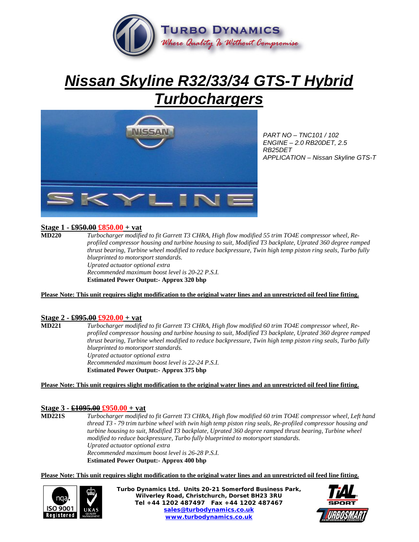

# *Nissan Skyline R32/33/34 GTS-T Hybrid Turbochargers*



*PART NO – TNC101 / 102 ENGINE – 2.0 RB20DET, 2.5 RB25DET APPLICATION – Nissan Skyline GTS-T* 

## **Stage 1 - £950.00 £850.00 + vat**

**MD220** *Turbocharger modified to fit Garrett T3 CHRA, High flow modified 55 trim TO4E compressor wheel, Reprofiled compressor housing and turbine housing to suit, Modified T3 backplate, Uprated 360 degree ramped thrust bearing, Turbine wheel modified to reduce backpressure, Twin high temp piston ring seals, Turbo fully blueprinted to motorsport standards. Uprated actuator optional extra Recommended maximum boost level is 20-22 P.S.I.*  **Estimated Power Output:- Approx 320 bhp** 

#### **Please Note: This unit requires slight modification to the original water lines and an unrestricted oil feed line fitting.**

#### **Stage 2 - £995.00 £920.00 + vat**

**MD221** *Turbocharger modified to fit Garrett T3 CHRA, High flow modified 60 trim TO4E compressor wheel, Reprofiled compressor housing and turbine housing to suit, Modified T3 backplate, Uprated 360 degree ramped thrust bearing, Turbine wheel modified to reduce backpressure, Twin high temp piston ring seals, Turbo fully blueprinted to motorsport standards. Uprated actuator optional extra Recommended maximum boost level is 22-24 P.S.I.*  **Estimated Power Output:- Approx 375 bhp** 

#### **Please Note: This unit requires slight modification to the original water lines and an unrestricted oil feed line fitting.**

## **Stage 3 - £1095.00 £950.00 + vat**

**MD221S** *Turbocharger modified to fit Garrett T3 CHRA, High flow modified 60 trim TO4E compressor wheel, Left hand thread T3 - 79 trim turbine wheel with twin high temp piston ring seals, Re-profiled compressor housing and turbine housing to suit, Modified T3 backplate, Uprated 360 degree ramped thrust bearing, Turbine wheel modified to reduce backpressure, Turbo fully blueprinted to motorsport standards. Uprated actuator optional extra Recommended maximum boost level is 26-28 P.S.I.*  **Estimated Power Output:- Approx 400 bhp** 

**Please Note: This unit requires slight modification to the original water lines and an unrestricted oil feed line fitting.**



**Turbo Dynamics Ltd. Units 20-21 Somerford Business Park, Wilverley Road, Christchurch, Dorset BH23 3RU Tel +44 1202 487497 Fax +44 1202 487467 sales@turbodynamics.co.uk www.turbodynamics.co.uk**